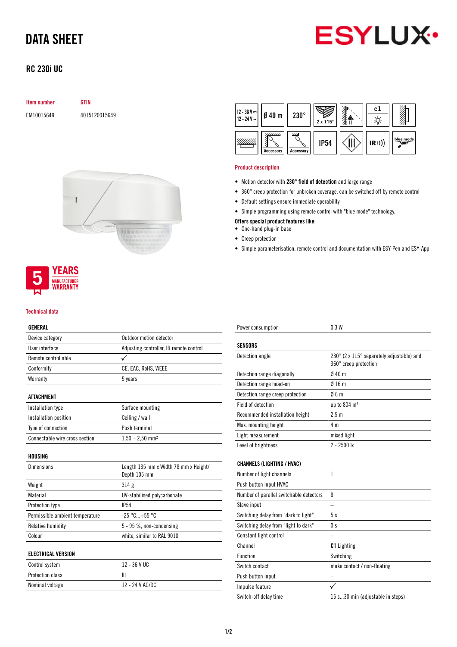# DATA SHEET



## RC 230i UC

### Item number GTIN

EM10015649 4015120015649





#### Technical data

## GENERAL

| Device category                 | Outdoor motion detector                 |  |  |
|---------------------------------|-----------------------------------------|--|--|
| User interface                  | Adjusting controller, IR remote control |  |  |
| Remote controllable             |                                         |  |  |
| Conformity                      | CE, EAC, RoHS, WEEE                     |  |  |
| Warranty                        | 5 years                                 |  |  |
|                                 |                                         |  |  |
| <b>ATTACHMENT</b>               |                                         |  |  |
| Installation type               | Surface mounting                        |  |  |
| Installation position           | Ceiling / wall                          |  |  |
| Type of connection              | Push terminal                           |  |  |
| Connectable wire cross section  | $1,50 - 2,50$ mm <sup>2</sup>           |  |  |
|                                 |                                         |  |  |
| HOUSING                         |                                         |  |  |
| <b>Dimensions</b>               | Length 135 mm x Width 78 mm x Height/   |  |  |
|                                 | Depth 105 mm                            |  |  |
| Weight                          | 314g                                    |  |  |
| Material                        | UV-stabilised polycarbonate             |  |  |
| Protection type                 | <b>IP54</b>                             |  |  |
| Permissible ambient temperature | $-25 °C+55 °C$                          |  |  |
| Relative humidity               | 5 - 95 %, non-condensing                |  |  |
| Colour                          | white, similar to RAL 9010              |  |  |
|                                 |                                         |  |  |
| <b>ELECTRICAL VERSION</b>       |                                         |  |  |
| Control system                  | 12 - 36 V UC                            |  |  |
| Protection class                | Ш                                       |  |  |
| Nominal voltage                 | 12 - 24 V AC/DC                         |  |  |

| 12 - 36 V <del></del><br>12 - 24 V ~ | $Ø$ 40 $m$                           | $230^\circ$                                 | $2 \times 115^\circ$ | c.   |           |
|--------------------------------------|--------------------------------------|---------------------------------------------|----------------------|------|-----------|
|                                      | '/ <i>//////</i><br><b>Accessory</b> | $^{\prime\prime\prime}$<br><b>Accessory</b> | <b>IP54</b>          | (R)) | blue mode |

#### Product description

- Motion detector with 230° field of detection and large range
- 360° creep protection for unbroken coverage, can be switched off by remote control
- Default settings ensure immediate operability
- Simple programming using remote control with "blue mode" technology.

### Offers special product features like:

- One-hand plug-in base
- Creep protection
- Simple parameterisation, remote control and documentation with ESY-Pen and ESY-App

| Power consumption                       | 0.3W                                                               |
|-----------------------------------------|--------------------------------------------------------------------|
| SENSORS                                 |                                                                    |
| Detection angle                         | 230° (2 x 115° separately adjustable) and<br>360° creep protection |
| Detection range diagonally              | 040 <sub>m</sub>                                                   |
| Detection range head-on                 | 016m                                                               |
| Detection range creep protection        | 06m                                                                |
| Field of detection                      | up to 804 m <sup>2</sup>                                           |
| Recommended installation height         | 2.5 <sub>m</sub>                                                   |
| Max. mounting height                    | 4 m                                                                |
| Light measurement                       | mixed light                                                        |
| Level of brightness                     | $2 - 2500$ lx                                                      |
| <b>CHANNELS (LIGHTING / HVAC)</b>       |                                                                    |
| Number of light channels                | 1                                                                  |
| Push button input HVAC                  |                                                                    |
| Number of parallel switchable detectors | 8                                                                  |
| Slave input                             |                                                                    |
| Switching delay from "dark to light"    | 5s                                                                 |
| Switching delay from "light to dark"    | 0 s                                                                |
| Constant light control                  |                                                                    |
| Channel                                 | <b>C1</b> Lighting                                                 |
| <b>Function</b>                         | Switching                                                          |
| Switch contact                          | make contact / non-floating                                        |
| Push button input                       |                                                                    |
| Impulse feature                         |                                                                    |
| Switch-off delay time                   | 15 s30 min (adjustable in steps)                                   |
|                                         |                                                                    |